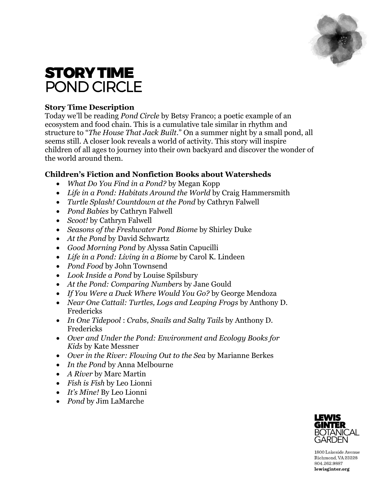

# STORY TIME POND CIRCLE

# **Story Time Description**

Today we'll be reading *Pond Circle* by Betsy Franco; a poetic example of an ecosystem and food chain. This is a cumulative tale similar in rhythm and structure to "*The House That Jack Built*." On a summer night by a small pond, all seems still. A closer look reveals a world of activity. This story will inspire children of all ages to journey into their own backyard and discover the wonder of the world around them.

# **Children's Fiction and Nonfiction Books about Watersheds**

- *What Do You Find in a Pond?* by Megan Kopp
- *Life in a Pond: Habitats Around the World* by Craig Hammersmith
- *Turtle Splash! Countdown at the Pond* by Cathryn Falwell
- *Pond Babies* by Cathryn Falwell
- *Scoot!* by Cathryn Falwell
- *Seasons of the Freshwater Pond Biome* by Shirley Duke
- *At the Pond* by David Schwartz
- *Good Morning Pond* by Alyssa Satin Capucilli
- *Life in a Pond: Living in a Biome* by Carol K. Lindeen
- *Pond Food* by John Townsend
- *Look Inside a Pond* by Louise Spilsbury
- *At the Pond: Comparing Numbers* by Jane Gould
- *If You Were a Duck Where Would You Go?* by George Mendoza
- *Near One Cattail: Turtles, Logs and Leaping Frogs* by Anthony D. Fredericks
- *In One Tidepool* : *Crabs, Snails and Salty Tails* by Anthony D. Fredericks
- *Over and Under the Pond: Environment and Ecology Books for Kids* by Kate Messner
- *Over in the River: Flowing Out to the Sea* by Marianne Berkes
- *In the Pond* by Anna Melbourne
- *A River* by Marc Martin
- *Fish is Fish* by Leo Lionni
- *It's Mine!* By Leo Lionni
- *Pond* by Jim LaMarche



1800 Lakeside Avenue Richmond, VA 23228 804.262.9887 lewisginter.org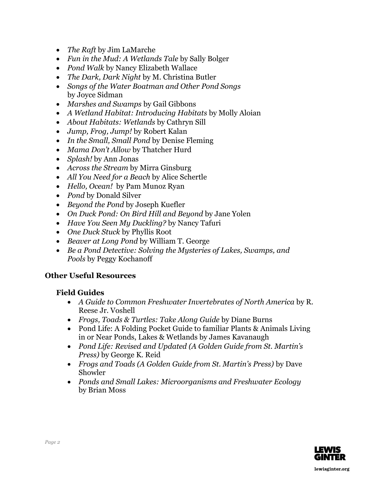- *The Raft* by Jim LaMarche
- *Fun in the Mud: A Wetlands Tale* by Sally Bolger
- *Pond Walk* by Nancy Elizabeth Wallace
- *The Dark, Dark Night* by M. Christina Butler
- *Songs of the Water Boatman and Other Pond Songs*  by Joyce Sidman
- *Marshes and Swamps* by Gail Gibbons
- *A Wetland Habitat: Introducing Habitats* by Molly Aloian
- *About Habitats: Wetlands* by Cathryn Sill
- *Jump, Frog, Jump!* by Robert Kalan
- *In the Small, Small Pond* by Denise Fleming
- *Mama Don't Allow* by Thatcher Hurd
- *Splash!* by Ann Jonas
- *Across the Stream* by Mirra Ginsburg
- *All You Need for a Beach* by Alice Schertle
- *Hello, Ocean!* by Pam Munoz Ryan
- *Pond* by Donald Silver
- *Beyond the Pond* by Joseph Kuefler
- *On Duck Pond: On Bird Hill and Beyond* by Jane Yolen
- *Have You Seen My Duckling?* by Nancy Tafuri
- *One Duck Stuck* by Phyllis Root
- *Beaver at Long Pond* by William T. George
- *Be a Pond Detective: Solving the Mysteries of Lakes, Swamps, and Pools* by Peggy Kochanoff

# **Other Useful Resources**

# **Field Guides**

- *A Guide to Common Freshwater Invertebrates of North America* by R. Reese Jr. Voshell
- *Frogs, Toads & Turtles: Take Along Guide* by Diane Burns
- Pond Life: A Folding Pocket Guide to familiar Plants & Animals Living in or Near Ponds, Lakes & Wetlands by James Kavanaugh
- *Pond Life: Revised and Updated (A Golden Guide from St. Martin's Press)* by George K. Reid
- *Frogs and Toads (A Golden Guide from St. Martin's Press)* by Dave Showler
- *Ponds and Small Lakes: Microorganisms and Freshwater Ecology*  by Brian Moss

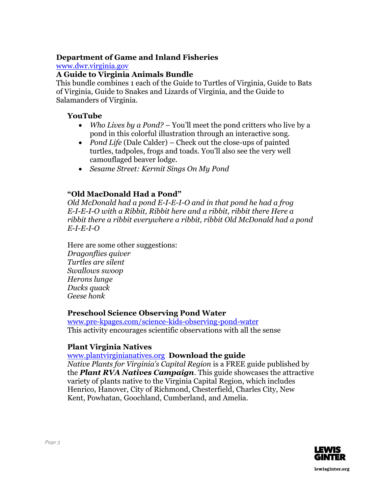### **Department of Game and Inland Fisheries**

#### [www.dwr.virginia.gov](http://www.dwr.virginia.gov/)

#### **A Guide to Virginia Animals Bundle**

This bundle combines 1 each of the Guide to Turtles of Virginia, Guide to Bats of Virginia, Guide to Snakes and Lizards of Virginia, and the Guide to Salamanders of Virginia.

#### **YouTube**

- *Who Lives by a Pond?* You'll meet the pond critters who live by a pond in this colorful illustration through an interactive song.
- *Pond Life* (Dale Calder) Check out the close-ups of painted turtles, tadpoles, frogs and toads. You'll also see the very well camouflaged beaver lodge.
- *Sesame Street: Kermit Sings On My Pond*

# **"Old MacDonald Had a Pond"**

*Old McDonald had a pond E-I-E-I-O and in that pond he had a frog E-I-E-I-O with a Ribbit, Ribbit here and a ribbit, ribbit there Here a ribbit there a ribbit everywhere a ribbit, ribbit Old McDonald had a pond E-I-E-I-O*

Here are some other suggestions: *Dragonflies quiver Turtles are silent Swallows swoop Herons lunge Ducks quack Geese honk*

# **Preschool Science Observing Pond Water**

www.pre-kpages.com/science-kids-observing-pond-water This activity encourages scientific observations with all the sense

# **Plant Virginia Natives**

#### [www.plantvirginianatives.org](http://www.plantvirginianatives.org/) **Download the guide**

*Native Plants for Virginia's Capital Region* is a FREE guide published by the *Plant RVA Natives Campaign*. This guide showcases the attractive variety of plants native to the Virginia Capital Region, which includes Henrico, Hanover, City of Richmond, Chesterfield, Charles City, New Kent, Powhatan, Goochland, Cumberland, and Amelia.